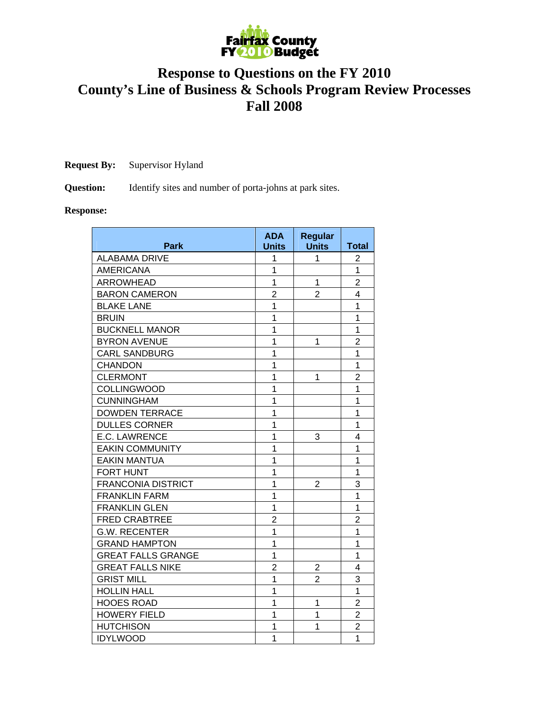

## **Response to Questions on the FY 2010 County's Line of Business & Schools Program Review Processes Fall 2008**

**Request By:** Supervisor Hyland

**Question:** Identify sites and number of porta-johns at park sites.

## **Response:**

| <b>Park</b>               | <b>ADA</b><br><b>Units</b> | <b>Regular</b><br><b>Units</b> | <b>Total</b>   |
|---------------------------|----------------------------|--------------------------------|----------------|
| <b>ALABAMA DRIVE</b>      | 1                          | 1                              | 2              |
| <b>AMERICANA</b>          | 1                          |                                | 1              |
| <b>ARROWHEAD</b>          | $\overline{1}$             | 1                              | $\overline{2}$ |
| <b>BARON CAMERON</b>      | $\overline{2}$             | $\overline{2}$                 | 4              |
| <b>BLAKE LANE</b>         | 1                          |                                | 1              |
| <b>BRUIN</b>              | $\overline{1}$             |                                | 1              |
| <b>BUCKNELL MANOR</b>     | $\overline{1}$             |                                | $\overline{1}$ |
| <b>BYRON AVENUE</b>       | $\overline{1}$             | 1                              | $\overline{2}$ |
| <b>CARL SANDBURG</b>      | $\overline{1}$             |                                | 1              |
| <b>CHANDON</b>            | $\overline{1}$             |                                | $\overline{1}$ |
| <b>CLERMONT</b>           | $\overline{1}$             | 1                              | $\overline{2}$ |
| <b>COLLINGWOOD</b>        | $\overline{1}$             |                                | $\overline{1}$ |
| <b>CUNNINGHAM</b>         | $\overline{1}$             |                                | $\overline{1}$ |
| <b>DOWDEN TERRACE</b>     | $\overline{1}$             |                                | $\overline{1}$ |
| <b>DULLES CORNER</b>      | 1                          |                                | 1              |
| <b>E.C. LAWRENCE</b>      | 1                          | 3                              | 4              |
| <b>EAKIN COMMUNITY</b>    | $\overline{1}$             |                                | $\overline{1}$ |
| <b>EAKIN MANTUA</b>       | $\overline{1}$             |                                | $\overline{1}$ |
| <b>FORT HUNT</b>          | $\overline{1}$             |                                | $\overline{1}$ |
| <b>FRANCONIA DISTRICT</b> | 1                          | $\overline{2}$                 | 3              |
| <b>FRANKLIN FARM</b>      | $\overline{1}$             |                                | $\overline{1}$ |
| <b>FRANKLIN GLEN</b>      | $\overline{1}$             |                                | $\overline{1}$ |
| <b>FRED CRABTREE</b>      | $\overline{2}$             |                                | $\overline{2}$ |
| <b>G.W. RECENTER</b>      | $\overline{1}$             |                                | $\overline{1}$ |
| <b>GRAND HAMPTON</b>      | $\overline{1}$             |                                | $\overline{1}$ |
| <b>GREAT FALLS GRANGE</b> | $\overline{1}$             |                                | $\overline{1}$ |
| <b>GREAT FALLS NIKE</b>   | $\overline{2}$             | $\overline{2}$                 | 4              |
| <b>GRIST MILL</b>         | $\overline{1}$             | $\overline{2}$                 | 3              |
| <b>HOLLIN HALL</b>        | 1                          |                                | $\overline{1}$ |
| <b>HOOES ROAD</b>         | 1                          | 1                              | $\overline{2}$ |
| <b>HOWERY FIELD</b>       | 1                          | 1                              | $\overline{2}$ |
| <b>HUTCHISON</b>          | 1                          | 1                              | $\overline{2}$ |
| <b>IDYLWOOD</b>           | $\overline{1}$             |                                | $\overline{1}$ |